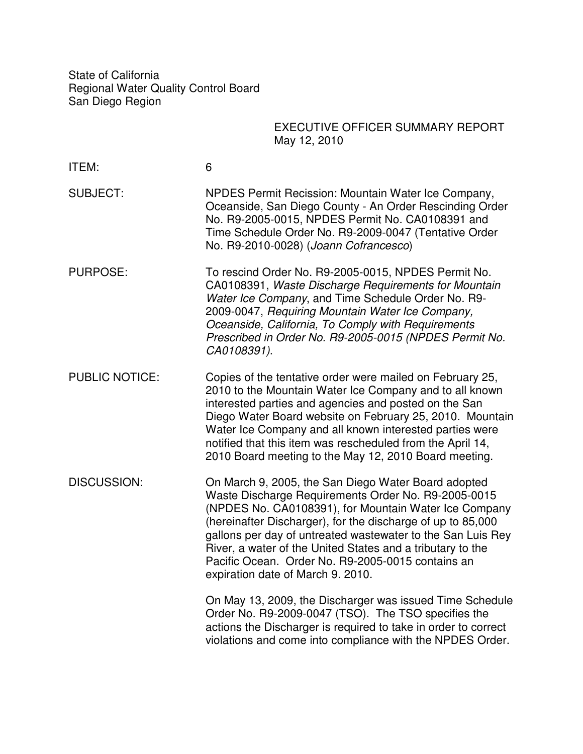State of California Regional Water Quality Control Board San Diego Region

## EXECUTIVE OFFICER SUMMARY REPORT May 12, 2010

| ITEM:                 | 6                                                                                                                                                                                                                                                                                                                                                                                                                                                         |
|-----------------------|-----------------------------------------------------------------------------------------------------------------------------------------------------------------------------------------------------------------------------------------------------------------------------------------------------------------------------------------------------------------------------------------------------------------------------------------------------------|
| <b>SUBJECT:</b>       | NPDES Permit Recission: Mountain Water Ice Company,<br>Oceanside, San Diego County - An Order Rescinding Order<br>No. R9-2005-0015, NPDES Permit No. CA0108391 and<br>Time Schedule Order No. R9-2009-0047 (Tentative Order<br>No. R9-2010-0028) (Joann Cofrancesco)                                                                                                                                                                                      |
| <b>PURPOSE:</b>       | To rescind Order No. R9-2005-0015, NPDES Permit No.<br>CA0108391, Waste Discharge Requirements for Mountain<br>Water Ice Company, and Time Schedule Order No. R9-<br>2009-0047, Requiring Mountain Water Ice Company,<br>Oceanside, California, To Comply with Requirements<br>Prescribed in Order No. R9-2005-0015 (NPDES Permit No.<br>CA0108391).                                                                                                      |
| <b>PUBLIC NOTICE:</b> | Copies of the tentative order were mailed on February 25,<br>2010 to the Mountain Water Ice Company and to all known<br>interested parties and agencies and posted on the San<br>Diego Water Board website on February 25, 2010. Mountain<br>Water Ice Company and all known interested parties were<br>notified that this item was rescheduled from the April 14,<br>2010 Board meeting to the May 12, 2010 Board meeting.                               |
| <b>DISCUSSION:</b>    | On March 9, 2005, the San Diego Water Board adopted<br>Waste Discharge Requirements Order No. R9-2005-0015<br>(NPDES No. CA0108391), for Mountain Water Ice Company<br>(hereinafter Discharger), for the discharge of up to 85,000<br>gallons per day of untreated wastewater to the San Luis Rey<br>River, a water of the United States and a tributary to the<br>Pacific Ocean. Order No. R9-2005-0015 contains an<br>expiration date of March 9. 2010. |
|                       | On May 13, 2009, the Discharger was issued Time Schedule<br>Order No. R9-2009-0047 (TSO). The TSO specifies the<br>actions the Discharger is required to take in order to correct<br>violations and come into compliance with the NPDES Order.                                                                                                                                                                                                            |